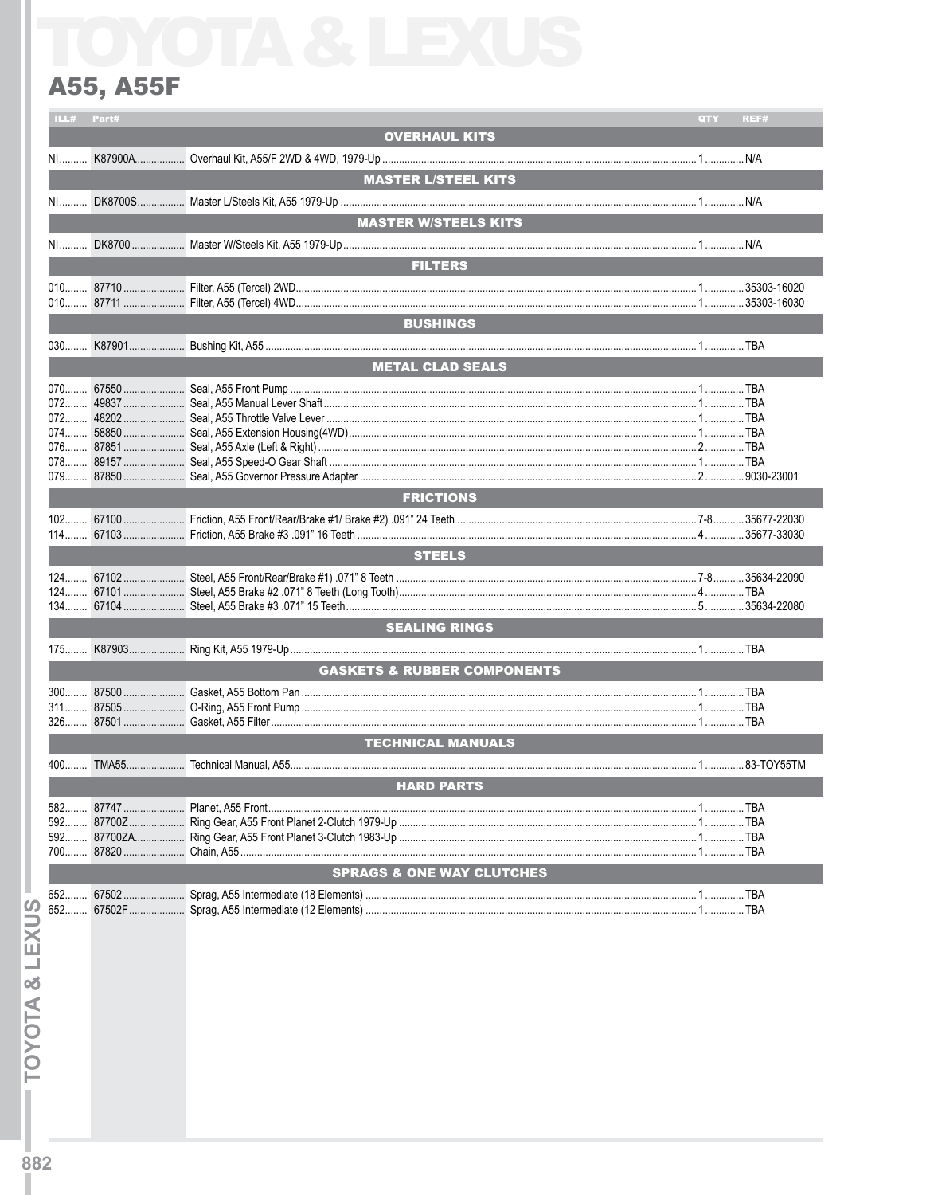## **A55, A55F**

| ILL#                                   | Part# |                                      | QTY | REF#         |  |
|----------------------------------------|-------|--------------------------------------|-----|--------------|--|
|                                        |       | <b>OVERHAUL KITS</b>                 |     |              |  |
|                                        |       |                                      |     |              |  |
|                                        |       | <b>MASTER L/STEEL KITS</b>           |     |              |  |
|                                        |       |                                      |     |              |  |
|                                        |       | <b>MASTER W/STEELS KITS</b>          |     |              |  |
|                                        |       |                                      |     |              |  |
|                                        |       |                                      |     |              |  |
| <b>FILTERS</b>                         |       |                                      |     |              |  |
|                                        |       |                                      |     |              |  |
|                                        |       |                                      |     |              |  |
|                                        |       | <b>BUSHINGS</b>                      |     |              |  |
|                                        |       |                                      |     |              |  |
| <b>METAL CLAD SEALS</b>                |       |                                      |     |              |  |
|                                        |       |                                      |     |              |  |
|                                        |       |                                      |     |              |  |
|                                        |       |                                      |     |              |  |
|                                        |       |                                      |     |              |  |
|                                        |       |                                      |     |              |  |
|                                        |       |                                      |     |              |  |
|                                        |       | <b>FRICTIONS</b>                     |     |              |  |
|                                        |       |                                      |     |              |  |
|                                        |       |                                      |     | .35677-33030 |  |
|                                        |       | <b>STEELS</b>                        |     |              |  |
|                                        |       |                                      |     |              |  |
|                                        |       |                                      |     |              |  |
|                                        |       |                                      |     |              |  |
| <b>SEALING RINGS</b>                   |       |                                      |     |              |  |
|                                        |       |                                      |     |              |  |
| <b>GASKETS &amp; RUBBER COMPONENTS</b> |       |                                      |     |              |  |
|                                        |       |                                      |     |              |  |
|                                        |       |                                      |     |              |  |
|                                        |       |                                      |     |              |  |
|                                        |       | <b>TECHNICAL MANUALS</b>             |     |              |  |
|                                        |       |                                      |     |              |  |
|                                        |       | <b>HARD PARTS</b>                    |     |              |  |
|                                        |       |                                      |     |              |  |
|                                        |       |                                      |     |              |  |
|                                        |       |                                      |     |              |  |
|                                        |       |                                      |     |              |  |
|                                        |       | <b>SPRAGS &amp; ONE WAY CLUTCHES</b> |     |              |  |
| 652                                    |       |                                      |     |              |  |
| 652                                    |       |                                      |     |              |  |
|                                        |       |                                      |     |              |  |